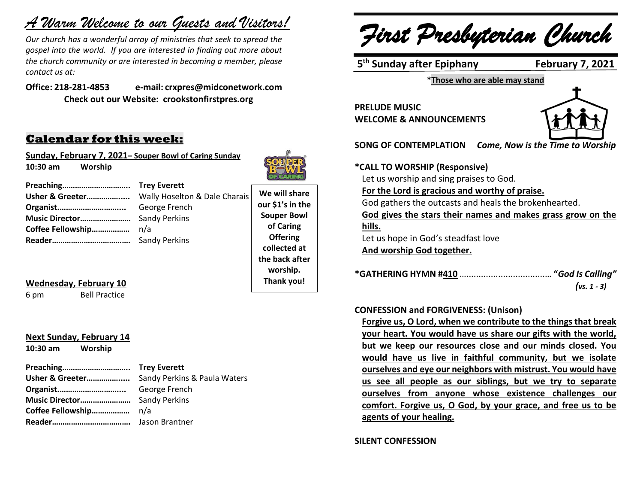# *A Warm Welcome to our Guests and Visitors!*

*Our church has a wonderful array of ministries that seek to spread the gospel into the world. If you are interested in finding out more about the church community or are interested in becoming a member, please contact us at:*

**Office: 218-281-4853 e-mail: crxpres@midconetwork.com Check out our Website: crookstonfirstpres.org**

## **Calendar for this week:**

**Sunday, February 7, 2021– Souper Bowl of Caring Sunday 10:30 am Worship** 



**Preaching………………………….. Trey Everett Usher & Greeter…………….....** Wally Hoselton & Dale Charais **Organist.………………………....** George French **Music Director……………………** Sandy Perkins **Coffee Fellowship………………** n/a **Reader……………………………….** Sandy Perkins

**We will share our \$1's in the Souper Bowl of Caring Offering collected at the back after worship. Thank you!**

#### **Wednesday, February 10**

6 pm Bell Practice

## **Next Sunday, February 14**

**10:30 am Worship** 

**Preaching………………………….. Trey Everett**

|                                     | Usher & Greeter Sandy Perkins & Paula Waters |
|-------------------------------------|----------------------------------------------|
|                                     |                                              |
| <b>Music Director</b> Sandy Perkins |                                              |
|                                     |                                              |
|                                     |                                              |

*First Presbyterian Church*

5<sup>th</sup> Sunday after Epiphany February 7, 2021

**\*Those who are able may stand**

**PRELUDE MUSIC WELCOME & ANNOUNCEMENTS**



**SONG OF CONTEMPLATION** *Come, Now is the Time to Worship*

## **\*CALL TO WORSHIP (Responsive)**

Let us worship and sing praises to God.

**For the Lord is gracious and worthy of praise.**

God gathers the outcasts and heals the brokenhearted. **God gives the stars their names and makes grass grow on the hills.** Let us hope in God's steadfast love **And worship God together.**

**\*GATHERING HYMN #410** …................................… **"***God Is Calling"* *(vs. 1 - 3)*

#### **CONFESSION and FORGIVENESS: (Unison)**

**Forgive us, O Lord, when we contribute to the things that break your heart. You would have us share our gifts with the world, but we keep our resources close and our minds closed. You would have us live in faithful community, but we isolate ourselves and eye our neighbors with mistrust. You would have us see all people as our siblings, but we try to separate ourselves from anyone whose existence challenges our comfort. Forgive us, O God, by your grace, and free us to be agents of your healing.**

#### **SILENT CONFESSION**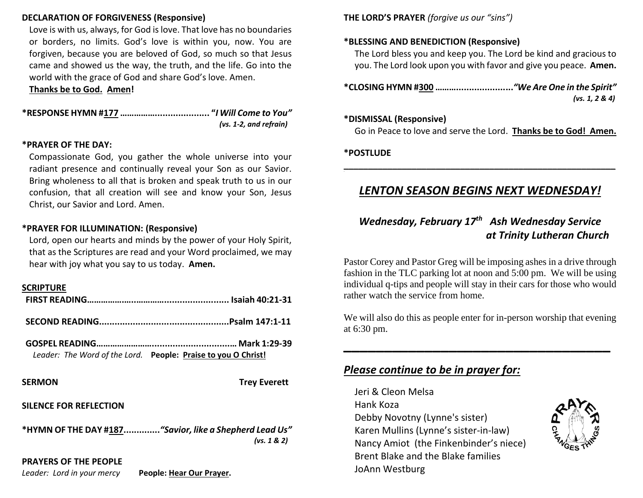## **DECLARATION OF FORGIVENESS (Responsive)**

Love is with us, always, for God is love. That love has no boundaries or borders, no limits. God's love is within you, now. You are forgiven, because you are beloved of God, so much so that Jesus came and showed us the way, the truth, and the life. Go into the world with the grace of God and share God's love. Amen.

**Thanks be to God. Amen!**

**\*RESPONSE HYMN #177 ……………..................... "***I Will Come to You" (vs. 1-2, and refrain)*

#### **\*PRAYER OF THE DAY:**

Compassionate God, you gather the whole universe into your radiant presence and continually reveal your Son as our Savior. Bring wholeness to all that is broken and speak truth to us in our confusion, that all creation will see and know your Son, Jesus Christ, our Savior and Lord. Amen.

#### **\*PRAYER FOR ILLUMINATION: (Responsive)**

Lord, open our hearts and minds by the power of your Holy Spirit, that as the Scriptures are read and your Word proclaimed, we may hear with joy what you say to us today. **Amen.**

#### **SCRIPTURE**

| Leader: The Word of the Lord. People: Praise to you O Christ! |
|---------------------------------------------------------------|
|                                                               |

**SERMON** Trey Everett

#### **SILENCE FOR REFLECTION**

**\*HYMN OF THE DAY #187..............***"Savior, like a Shepherd Lead Us" (vs. 1 & 2)*

## **PRAYERS OF THE PEOPLE**

*Leader: Lord in your mercy* **People: Hear Our Prayer.**

**THE LORD'S PRAYER** *(forgive us our "sins")* 

## **\*BLESSING AND BENEDICTION (Responsive)**

The Lord bless you and keep you. The Lord be kind and gracious to you. The Lord look upon you with favor and give you peace. **Amen.**

**\*CLOSING HYMN #300 ………......................***"We Are One in the Spirit"* *(vs. 1, 2 & 4)*

#### **\*DISMISSAL (Responsive)**

Go in Peace to love and serve the Lord. **Thanks be to God! Amen.**

#### **\*POSTLUDE**

## *LENTON SEASON BEGINS NEXT WEDNESDAY!*

**\_\_\_\_\_\_\_\_\_\_\_\_\_\_\_\_\_\_\_\_\_\_\_\_\_\_\_\_\_\_\_\_\_\_\_\_\_\_\_\_\_\_\_\_\_\_\_\_\_\_\_\_\_\_\_\_**

## *Wednesday, February 17th Ash Wednesday Service at Trinity Lutheran Church*

Pastor Corey and Pastor Greg will be imposing ashes in a drive through fashion in the TLC parking lot at noon and 5:00 pm. We will be using individual q-tips and people will stay in their cars for those who would rather watch the service from home.

We will also do this as people enter for in-person worship that evening at 6:30 pm.

**\_\_\_\_\_\_\_\_\_\_\_\_\_\_\_\_\_\_\_\_\_\_\_\_\_\_\_\_\_\_\_\_\_**

## *Please continue to be in prayer for:*

Jeri & Cleon Melsa Hank Koza Debby Novotny (Lynne's sister) Karen Mullins (Lynne's sister-in-law) Nancy Amiot (the Finkenbinder's niece) Brent Blake and the Blake families JoAnn Westburg

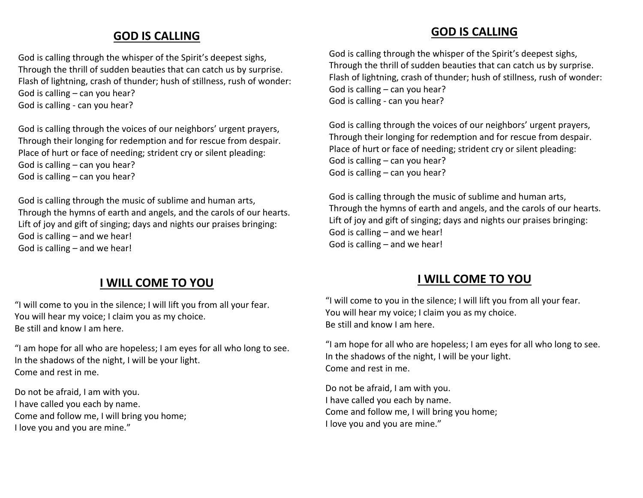## **GOD IS CALLING**

God is calling through the whisper of the Spirit's deepest sighs, Through the thrill of sudden beauties that can catch us by surprise. Flash of lightning, crash of thunder; hush of stillness, rush of wonder: God is calling – can you hear? God is calling - can you hear?

God is calling through the voices of our neighbors' urgent prayers, Through their longing for redemption and for rescue from despair. Place of hurt or face of needing; strident cry or silent pleading: God is calling – can you hear? God is calling – can you hear?

God is calling through the music of sublime and human arts, Through the hymns of earth and angels, and the carols of our hearts. Lift of joy and gift of singing; days and nights our praises bringing: God is calling – and we hear! God is calling – and we hear!

## **I WILL COME TO YOU**

"I will come to you in the silence; I will lift you from all your fear. You will hear my voice; I claim you as my choice. Be still and know I am here.

"I am hope for all who are hopeless; I am eyes for all who long to see. In the shadows of the night, I will be your light. Come and rest in me.

Do not be afraid, I am with you. I have called you each by name. Come and follow me, I will bring you home; I love you and you are mine."

## **GOD IS CALLING**

God is calling through the whisper of the Spirit's deepest sighs, Through the thrill of sudden beauties that can catch us by surprise. Flash of lightning, crash of thunder; hush of stillness, rush of wonder: God is calling – can you hear? God is calling - can you hear?

God is calling through the voices of our neighbors' urgent prayers, Through their longing for redemption and for rescue from despair. Place of hurt or face of needing; strident cry or silent pleading: God is calling – can you hear? God is calling – can you hear?

God is calling through the music of sublime and human arts, Through the hymns of earth and angels, and the carols of our hearts. Lift of joy and gift of singing; days and nights our praises bringing: God is calling – and we hear! God is calling – and we hear!

## **I WILL COME TO YOU**

"I will come to you in the silence; I will lift you from all your fear. You will hear my voice; I claim you as my choice. Be still and know I am here.

"I am hope for all who are hopeless; I am eyes for all who long to see. In the shadows of the night, I will be your light. Come and rest in me.

Do not be afraid, I am with you. I have called you each by name. Come and follow me, I will bring you home; I love you and you are mine."